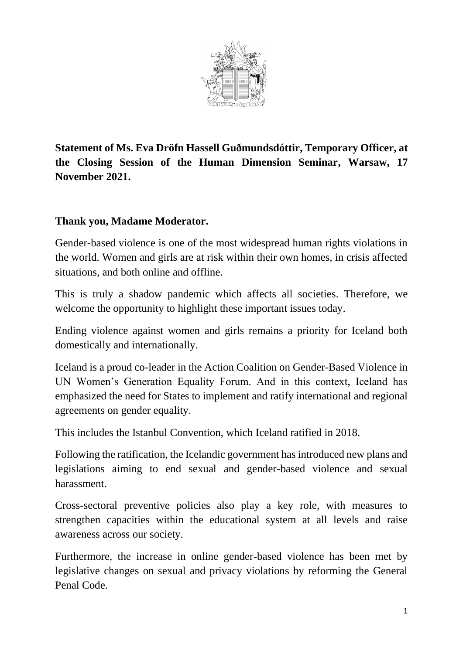

**Statement of Ms. Eva Dröfn Hassell Guðmundsdóttir, Temporary Officer, at the Closing Session of the Human Dimension Seminar, Warsaw, 17 November 2021.** 

## **Thank you, Madame Moderator.**

Gender-based violence is one of the most widespread human rights violations in the world. Women and girls are at risk within their own homes, in crisis affected situations, and both online and offline.

This is truly a shadow pandemic which affects all societies. Therefore, we welcome the opportunity to highlight these important issues today.

Ending violence against women and girls remains a priority for Iceland both domestically and internationally.

Iceland is a proud co-leader in the Action Coalition on Gender-Based Violence in UN Women's Generation Equality Forum. And in this context, Iceland has emphasized the need for States to implement and ratify international and regional agreements on gender equality.

This includes the Istanbul Convention, which Iceland ratified in 2018.

Following the ratification, the Icelandic government has introduced new plans and legislations aiming to end sexual and gender-based violence and sexual harassment.

Cross-sectoral preventive policies also play a key role, with measures to strengthen capacities within the educational system at all levels and raise awareness across our society.

Furthermore, the increase in online gender-based violence has been met by legislative changes on sexual and privacy violations by reforming the General Penal Code.